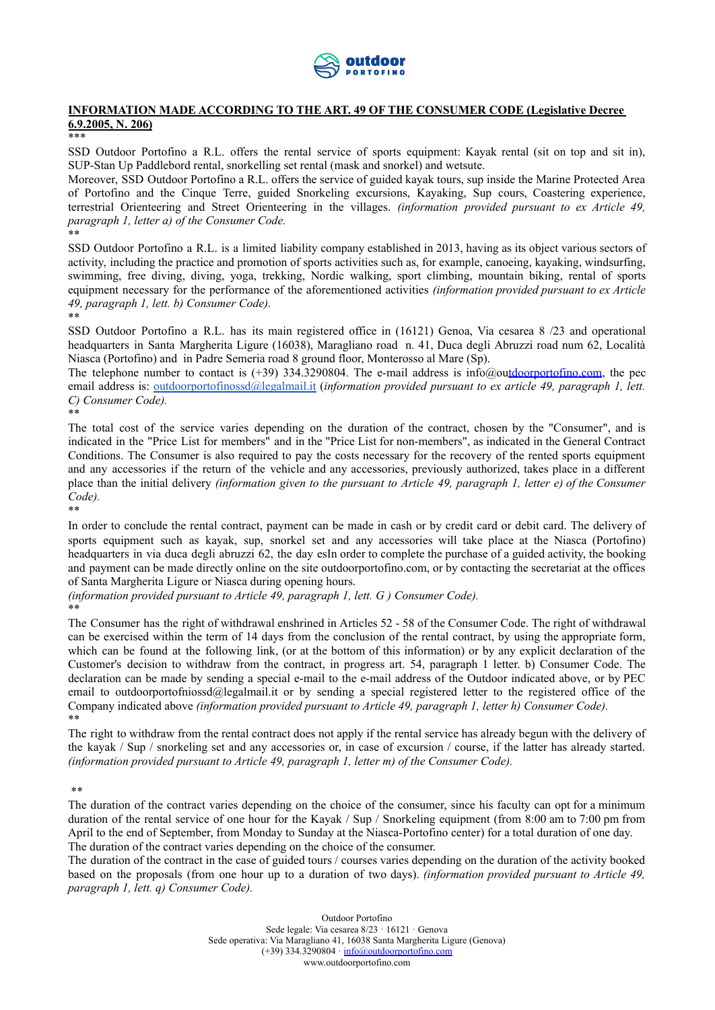

### **INFORMATION MADE ACCORDING TO THE ART. 49 OF THE CONSUMER CODE (Legislative Decree 6.9.2005, N. 206)**

\*\*\*

SSD Outdoor Portofino a R.L. offers the rental service of sports equipment: Kayak rental (sit on top and sit in), SUP-Stan Up Paddlebord rental, snorkelling set rental (mask and snorkel) and wetsute.

Moreover, SSD Outdoor Portofino a R.L. offers the service of guided kayak tours, sup inside the Marine Protected Area of Portofino and the Cinque Terre, guided Snorkeling excursions, Kayaking, Sup cours, Coastering experience, terrestrial Orienteering and Street Orienteering in the villages. *(information provided pursuant to ex Article 49, paragraph 1, letter a) of the Consumer Code.* \*\*

SSD Outdoor Portofino a R.L. is a limited liability company established in 2013, having as its object various sectors of activity, including the practice and promotion of sports activities such as, for example, canoeing, kayaking, windsurfing, swimming, free diving, diving, yoga, trekking, Nordic walking, sport climbing, mountain biking, rental of sports equipment necessary for the performance of the aforementioned activities *(information provided pursuant to ex Article 49, paragraph 1, lett. b) Consumer Code).* \*\*

SSD Outdoor Portofino a R.L. has its main registered office in (16121) Genoa, Via cesarea 8 /23 and operational headquarters in Santa Margherita Ligure (16038), Maragliano road n. 41, Duca degli Abruzzi road num 62, Località Niasca (Portofino) and in Padre Semeria road 8 ground floor, Monterosso al Mare (Sp).

The telephone number to contact is  $(+39)$  334.3290804. The e-mail address is [info@outdoorportofino.com,](mailto:info@outdoorportofino.com) the pec email address is: [outdoorportofinossd@legalmail.it](mailto:outdoorportofinossd@legalmail.it) (*information provided pursuant to ex article 49, paragraph 1, lett. C) Consumer Code).*

\*\*

The total cost of the service varies depending on the duration of the contract, chosen by the "Consumer", and is indicated in the "Price List for members" and in the "Price List for non-members", as indicated in the General Contract Conditions. The Consumer is also required to pay the costs necessary for the recovery of the rented sports equipment and any accessories if the return of the vehicle and any accessories, previously authorized, takes place in a different place than the initial delivery *(information given to the pursuant to Article 49, paragraph 1, letter e) of the Consumer Code).* \*\*

In order to conclude the rental contract, payment can be made in cash or by credit card or debit card. The delivery of sports equipment such as kayak, sup, snorkel set and any accessories will take place at the Niasca (Portofino) headquarters in via duca degli abruzzi 62, the day esIn order to complete the purchase of a guided activity, the booking and payment can be made directly online on the site outdoorportofino.com, or by contacting the secretariat at the offices of Santa Margherita Ligure or Niasca during opening hours.

*(information provided pursuant to Article 49, paragraph 1, lett. G ) Consumer Code).* \*\*

The Consumer has the right of withdrawal enshrined in Articles 52 - 58 of the Consumer Code. The right of withdrawal can be exercised within the term of 14 days from the conclusion of the rental contract, by using the appropriate form, which can be found at the [following](https://docs.google.com/document/d/1hEsb9EpQT4ajTsQJM--ualEXwi5ofSAV/edit) link, (or at the bottom of this information) or by any explicit declaration of the Customer's decision to withdraw from the contract, in progress art. 54, paragraph 1 letter. b) Consumer Code. The declaration can be made by sending a special e-mail to the e-mail address of the Outdoor indicated above, or by PEC email to outdoorportofniossd@legalmail.it or by sending a special registered letter to the registered office of the Company indicated above *(information provided pursuant to Article 49, paragraph 1, letter h) Consumer Code).* \*\*

The right to withdraw from the rental contract does not apply if the rental service has already begun with the delivery of the kayak / Sup / snorkeling set and any accessories or, in case of excursion / course, if the latter has already started. *(information provided pursuant to Article 49, paragraph 1, letter m) of the Consumer Code).*

\*\*

The duration of the contract varies depending on the choice of the consumer, since his faculty can opt for a minimum duration of the rental service of one hour for the Kayak / Sup / Snorkeling equipment (from 8:00 am to 7:00 pm from April to the end of September, from Monday to Sunday at the Niasca-Portofino center) for a total duration of one day. The duration of the contract varies depending on the choice of the consumer.

The duration of the contract in the case of guided tours / courses varies depending on the duration of the activity booked based on the proposals (from one hour up to a duration of two days). *(information provided pursuant to Article 49, paragraph 1, lett. q) Consumer Code).*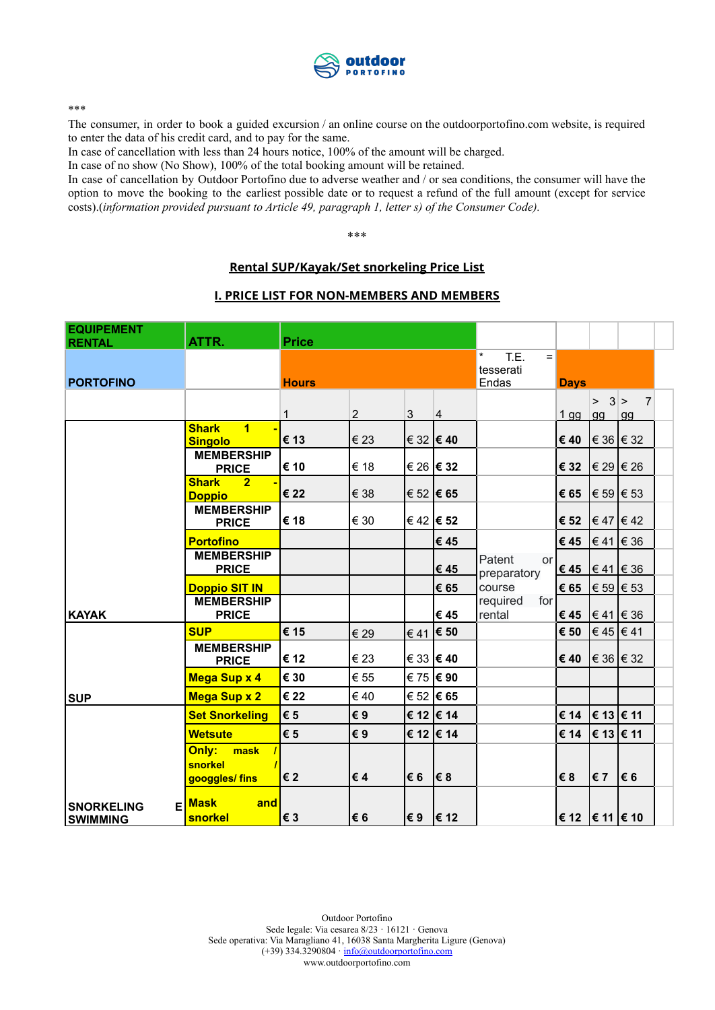

\*\*\*

The consumer, in order to book a guided excursion / an online course on the outdoorportofino.com website, is required to enter the data of his credit card, and to pay for the same.

In case of cancellation with less than 24 hours notice, 100% of the amount will be charged.

In case of no show (No Show), 100% of the total booking amount will be retained.

In case of cancellation by Outdoor Portofino due to adverse weather and / or sea conditions, the consumer will have the option to move the booking to the earliest possible date or to request a refund of the full amount (except for service costs).(*information provided pursuant to Article 49, paragraph 1, letter s) of the Consumer Code).*

\*\*\*

### **Rental SUP/Kayak/Set snorkeling Price List**

#### **I. PRICE LIST FOR NON-MEMBERS AND MEMBERS**

| <b>EQUIPEMENT</b>                    |                                                        | <b>Price</b> |                |           |                    |                             |                            |                                                         |                |  |
|--------------------------------------|--------------------------------------------------------|--------------|----------------|-----------|--------------------|-----------------------------|----------------------------|---------------------------------------------------------|----------------|--|
| <b>RENTAL</b>                        | ATTR.                                                  |              |                |           |                    | $\star$<br>T.E.<br>$=$      |                            |                                                         |                |  |
|                                      |                                                        |              |                |           | tesserati          |                             |                            |                                                         |                |  |
| <b>PORTOFINO</b>                     |                                                        | <b>Hours</b> |                |           |                    | Endas                       | <b>Days</b>                |                                                         |                |  |
|                                      |                                                        |              |                |           |                    |                             |                            | $> 3$  >                                                | $\overline{7}$ |  |
|                                      |                                                        | $\mathbf{1}$ | $\overline{2}$ | 3         | $\overline{4}$     |                             | $1$ gg                     | gg                                                      | gg             |  |
|                                      | <b>Shark</b><br>$\blacktriangleleft$<br><b>Singolo</b> | € 13         | € 23           | € 32 € 40 |                    |                             | € 40                       | $\vert \in 36 \vert \in 32$                             |                |  |
|                                      | <b>MEMBERSHIP</b><br><b>PRICE</b>                      | € 10         | € 18           |           | € 26 € 32          |                             | € 32                       | € 29 € 26                                               |                |  |
|                                      | <b>Shark</b><br>2 <sup>1</sup><br><b>Doppio</b>        | € 22         | € 38           |           | € 52 € 65          |                             | € 65                       | $ \epsilon 59  \epsilon 53$                             |                |  |
|                                      | <b>MEMBERSHIP</b><br><b>PRICE</b>                      | € 18         | € 30           |           | € 42 € 52          |                             | € 52                       | $\vert \in 47 \vert \in 42$                             |                |  |
|                                      | <b>Portofino</b>                                       |              |                |           | € 45               |                             | €45 $ \in$ 41 $ \in$ 36    |                                                         |                |  |
|                                      | <b>MEMBERSHIP</b><br><b>PRICE</b>                      |              |                |           | € 45               | Patent<br>or<br>preparatory | €45 $ \in$ 41 $ \in$ 36    |                                                         |                |  |
|                                      | <b>Doppio SIT IN</b>                                   |              |                |           | € 65               | course                      | € 65                       | $ \epsilon 59  \epsilon 53$                             |                |  |
| <b>KAYAK</b>                         | <b>MEMBERSHIP</b><br><b>PRICE</b>                      |              |                |           | € 45               | required<br>for<br>rental   | € 45                       | $ \epsilon 41 \epsilon 36$                              |                |  |
|                                      | <b>SUP</b>                                             | € 15         | € 29           |           | $\epsilon$ 41 € 50 |                             | € 50                       | $\epsilon$ 45 $\epsilon$ 41                             |                |  |
|                                      | <b>MEMBERSHIP</b><br><b>PRICE</b>                      | € 12         | € 23           |           | € 33 € 40          |                             | € 40                       | $\vert \in 36 \vert \in 32$                             |                |  |
|                                      | Mega Sup x 4                                           | € 30         | € 55           |           | € 75 € 90          |                             |                            |                                                         |                |  |
| <b>SUP</b>                           | <b>Mega Sup x 2</b>                                    | € 22         | $\epsilon$ 40  |           | € 52  € 65         |                             |                            |                                                         |                |  |
|                                      | <b>Set Snorkeling</b>                                  | € 5          | €9             |           | € 12 € 14          |                             | € 14                       | $ \boldsymbol{\epsilon}$ 13 $ \boldsymbol{\epsilon}$ 11 |                |  |
|                                      | <b>Wetsute</b>                                         | € 5          | €9             |           | € 12 € 14          |                             | € 14                       | $ \boldsymbol{\epsilon}$ 13 $ \boldsymbol{\epsilon}$ 11 |                |  |
|                                      | Only:<br>mask<br>snorkel<br>googgles/ fins             | €2           | €4             | l€ 6      | <b>E</b> 8         |                             | €8                         | $\epsilon$ 7                                            | € 6            |  |
| <b>SNORKELING</b><br><b>SWIMMING</b> | E Mask<br>and<br>snorkel                               | € 3          | €6             | l€ 9      | E 12               |                             | € 12 $\in$ 11 $\models$ 10 |                                                         |                |  |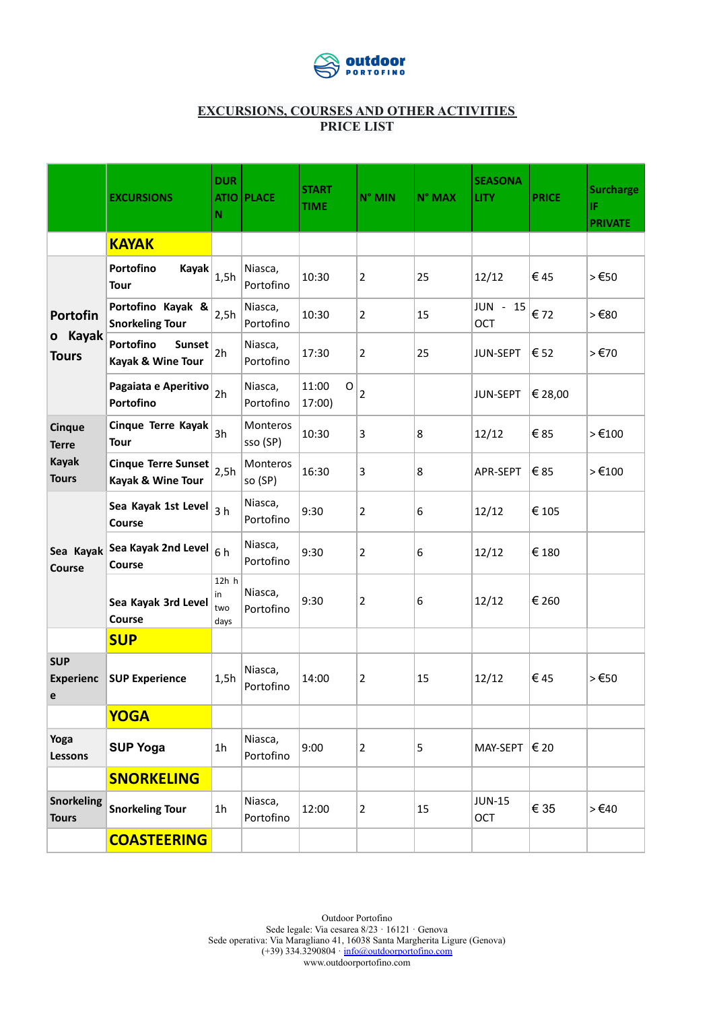

## **EXCURSIONS, COURSES AND OTHER ACTIVITIES PRICE LIST**

|                                     | <b>EXCURSIONS</b>                               | <b>DUR</b><br>N            | <b>ATIO PLACE</b>          | <b>START</b><br><b>TIME</b>    | N° MIN         | N° MAX | <b>SEASONA</b><br><b>LITY</b> | <b>PRICE</b> | <b>Surcharge</b><br>IF.<br><b>PRIVATE</b> |
|-------------------------------------|-------------------------------------------------|----------------------------|----------------------------|--------------------------------|----------------|--------|-------------------------------|--------------|-------------------------------------------|
|                                     | <b>KAYAK</b>                                    |                            |                            |                                |                |        |                               |              |                                           |
| Portofin<br>o Kayak<br><b>Tours</b> | Portofino<br>Kayak<br><b>Tour</b>               | 1,5h                       | Niasca,<br>Portofino       | 10:30                          | 2              | 25     | 12/12                         | €45          | 550                                       |
|                                     | Portofino Kayak &<br><b>Snorkeling Tour</b>     | 2,5h                       | Niasca,<br>Portofino       | 10:30                          | 2              | 15     | JUN - 15<br>OCT               | €72          | 569                                       |
|                                     | Portofino<br><b>Sunset</b><br>Kayak & Wine Tour | 2h                         | Niasca,<br>Portofino       | 17:30                          | 2              | 25     | JUN-SEPT                      | € 52         | 5570                                      |
|                                     | Pagaiata e Aperitivo<br>Portofino               | 2h                         | Niasca,<br>Portofino       | 11:00<br>$\mathsf O$<br>17:00) | $\overline{2}$ |        | JUN-SEPT                      | € 28,00      |                                           |
| <b>Cinque</b><br><b>Terre</b>       | Cinque Terre Kayak<br><b>Tour</b>               | 3h                         | Monteros<br>sso (SP)       | 10:30                          | 3              | 8      | 12/12                         | €85          | $>\epsilon$ 100                           |
| <b>Kayak</b><br><b>Tours</b>        | <b>Cinque Terre Sunset</b><br>Kayak & Wine Tour | 2,5h                       | <b>Monteros</b><br>so (SP) | 16:30                          | 3              | 8      | APR-SEPT                      | € 85         | >€100                                     |
| Sea Kayak<br>Course                 | Sea Kayak 1st Level<br>Course                   | 3 <sub>h</sub>             | Niasca,<br>Portofino       | 9:30                           | 2              | 6      | 12/12                         | € 105        |                                           |
|                                     | Sea Kayak 2nd Level<br>Course                   | 6h                         | Niasca,<br>Portofino       | 9:30                           | 2              | 6      | 12/12                         | € 180        |                                           |
|                                     | Sea Kayak 3rd Level<br>Course                   | 12h h<br>in<br>two<br>days | Niasca,<br>Portofino       | 9:30                           | $\overline{2}$ | 6      | 12/12                         | € 260        |                                           |
|                                     | <b>SUP</b>                                      |                            |                            |                                |                |        |                               |              |                                           |
| <b>SUP</b><br><b>Experienc</b><br>e | <b>SUP Experience</b>                           | 1,5h                       | Niasca,<br>Portofino       | 14:00                          | 2              | 15     | 12/12                         | € 45         | $>\epsilon$ 50                            |
|                                     | <b>YOGA</b>                                     |                            |                            |                                |                |        |                               |              |                                           |
| Yoga<br><b>Lessons</b>              | <b>SUP Yoga</b>                                 | 1 <sub>h</sub>             | Niasca,<br>Portofino       | 9:00                           | 2              | 5      | MAY-SEPT $ \epsilon$ 20       |              |                                           |
|                                     | <b>SNORKELING</b>                               |                            |                            |                                |                |        |                               |              |                                           |
| <b>Snorkeling</b><br><b>Tours</b>   | <b>Snorkeling Tour</b>                          | 1 <sub>h</sub>             | Niasca,<br>Portofino       | 12:00                          | $\overline{2}$ | 15     | <b>JUN-15</b><br>OCT          | € 35         | $>\epsilon$ 40                            |
|                                     | <b>COASTEERING</b>                              |                            |                            |                                |                |        |                               |              |                                           |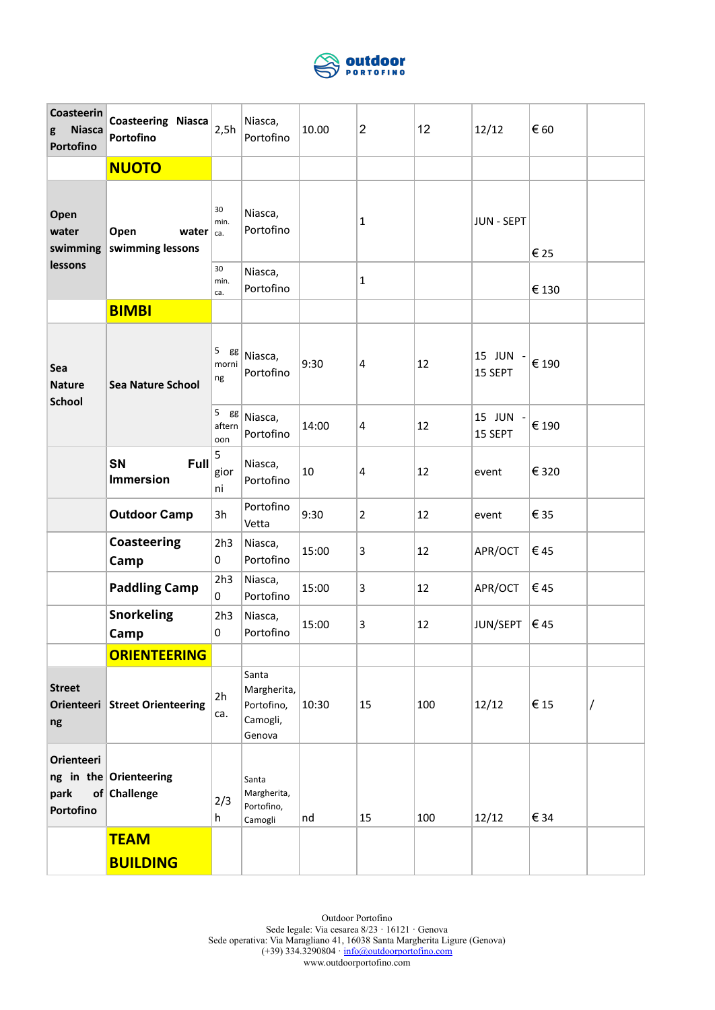

| Coasteerin<br><b>Niasca</b><br>g<br>Portofino | <b>Coasteering Niasca</b><br>Portofino      | 2,5h                              | Niasca,<br>Portofino                                     | 10.00 | $\overline{2}$ | 12  | 12/12               | € 60  |  |
|-----------------------------------------------|---------------------------------------------|-----------------------------------|----------------------------------------------------------|-------|----------------|-----|---------------------|-------|--|
|                                               | <b>NUOTO</b>                                |                                   |                                                          |       |                |     |                     |       |  |
| Open<br>water<br>swimming                     | Open<br>water $ _{ca.}$<br>swimming lessons | 30<br>min.                        | Niasca,<br>Portofino                                     |       | 1              |     | <b>JUN - SEPT</b>   | € 25  |  |
| lessons                                       |                                             | 30<br>min.<br>ca.                 | Niasca,<br>Portofino                                     |       | 1              |     |                     | € 130 |  |
|                                               | <b>BIMBI</b>                                |                                   |                                                          |       |                |     |                     |       |  |
| Sea<br><b>Nature</b><br><b>School</b>         | <b>Sea Nature School</b>                    | 5<br>gg<br>morni<br>ng            | Niasca,<br>Portofino                                     | 9:30  | 4              | 12  | 15 JUN -<br>15 SEPT | € 190 |  |
|                                               |                                             | $\sqrt{5}$<br>gg<br>aftern<br>oon | Niasca,<br>Portofino                                     | 14:00 | 4              | 12  | 15 JUN -<br>15 SEPT | € 190 |  |
|                                               | SN<br>Full<br><b>Immersion</b>              | 5<br>gior<br>ni                   | Niasca,<br>Portofino                                     | 10    | 4              | 12  | event               | € 320 |  |
|                                               | <b>Outdoor Camp</b>                         | 3h                                | Portofino<br>Vetta                                       | 9:30  | $\overline{2}$ | 12  | event               | € 35  |  |
|                                               | <b>Coasteering</b><br>Camp                  | 2h3<br>0                          | Niasca,<br>Portofino                                     | 15:00 | 3              | 12  | APR/OCT             | €45   |  |
|                                               | <b>Paddling Camp</b>                        | 2h3<br>$\mathbf{0}$               | Niasca,<br>Portofino                                     | 15:00 | 3              | 12  | APR/OCT             | €45   |  |
|                                               | <b>Snorkeling</b><br>Camp                   | 2h3<br>0                          | Niasca,<br>Portofino                                     | 15:00 | 3              | 12  | JUN/SEPT            | ∣€ 45 |  |
|                                               | <b>ORIENTEERING</b>                         |                                   |                                                          |       |                |     |                     |       |  |
| <b>Street</b><br>ng                           | Orienteeri Street Orienteering              | 2h<br>ca.                         | Santa<br>Margherita,<br>Portofino,<br>Camogli,<br>Genova | 10:30 | 15             | 100 | 12/12               | €15   |  |
| Orienteeri<br>park<br>Portofino               | ng in the Orienteering<br>of Challenge      | 2/3<br>h                          | Santa<br>Margherita,<br>Portofino,<br>Camogli            | nd    | 15             | 100 | 12/12               | € 34  |  |
|                                               | <b>TEAM</b>                                 |                                   |                                                          |       |                |     |                     |       |  |
|                                               | <b>BUILDING</b>                             |                                   |                                                          |       |                |     |                     |       |  |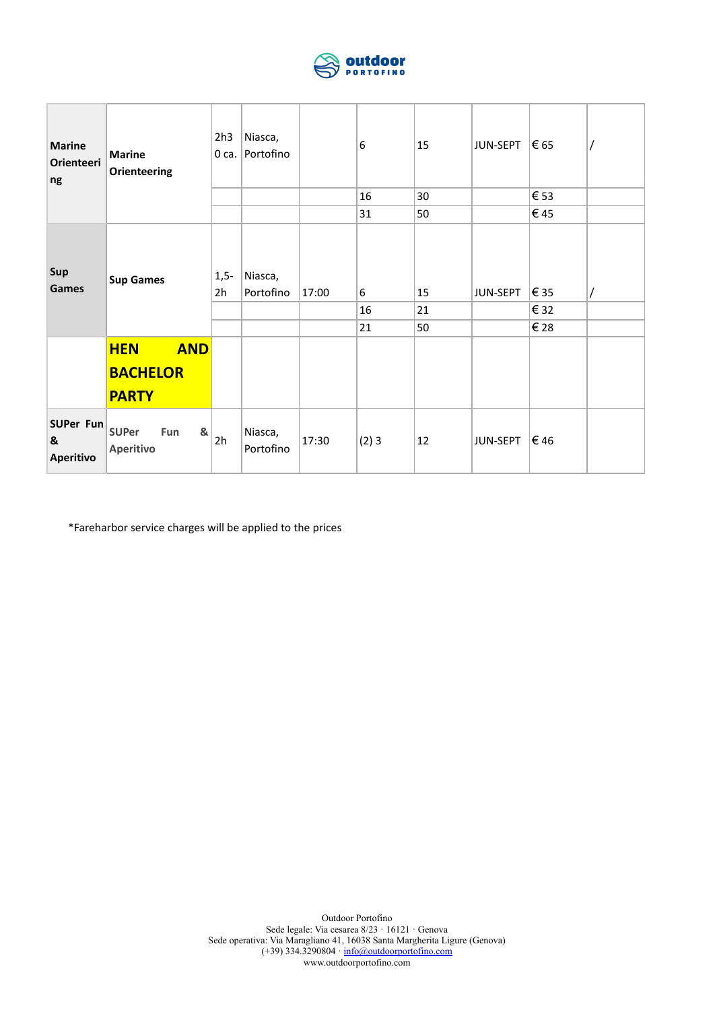

| <b>Marine</b><br>Orienteeri<br>ng | <b>Marine</b><br><b>Orienteering</b>                        | 2h3<br>$0$ ca. | Niasca,<br>Portofino |       | 6<br>16<br>31               | 15<br>30<br>50 | JUN-SEPT | $\vert \epsilon$ 65<br>€ 53<br>€45 |  |
|-----------------------------------|-------------------------------------------------------------|----------------|----------------------|-------|-----------------------------|----------------|----------|------------------------------------|--|
| Sup<br><b>Games</b>               | <b>Sup Games</b>                                            | $1,5-$<br>2h   | Niasca,<br>Portofino | 17:00 | $6\overline{6}$<br>16<br>21 | 15<br>21<br>50 | JUN-SEPT | € 35<br>€ 32<br>€ 28               |  |
|                                   | <b>AND</b><br><b>HEN</b>                                    |                |                      |       |                             |                |          |                                    |  |
|                                   | <b>BACHELOR</b>                                             |                |                      |       |                             |                |          |                                    |  |
|                                   | <b>PARTY</b>                                                |                |                      |       |                             |                |          |                                    |  |
| SUPer Fun<br>&<br>Aperitivo       | <b>SUPer</b><br>Fun<br>$\mathbf{g}_\mathrm{t}$<br>Aperitivo | 2h             | Niasca,<br>Portofino | 17:30 | (2)3                        | 12             | JUN-SEPT | ∣€ 46                              |  |

\*Fareharbor service charges will be applied to the prices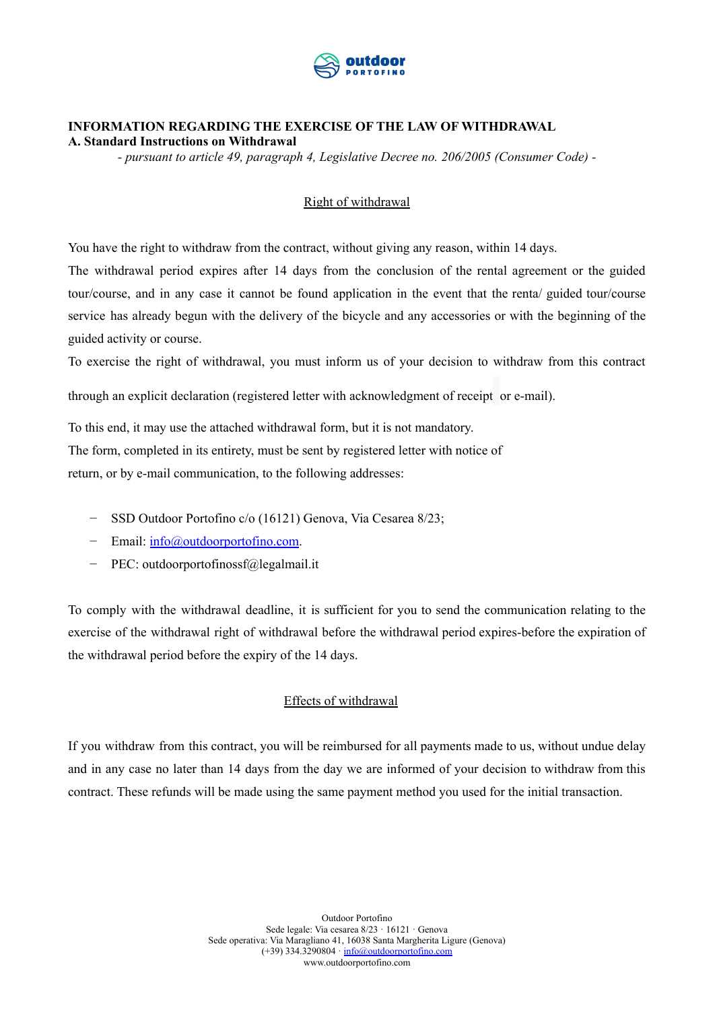

# **INFORMATION REGARDING THE EXERCISE OF THE LAW OF WITHDRAWAL**

**A. Standard Instructions on Withdrawal**

*- pursuant to article 49, paragraph 4, Legislative Decree no. 206/2005 (Consumer Code) -*

# Right of withdrawal

You have the right to withdraw from the contract, without giving any reason, within 14 days.

The withdrawal period expires after 14 days from the conclusion of the rental agreement or the guided tour/course, and in any case it cannot be found application in the event that the renta/ guided tour/course service has already begun with the delivery of the bicycle and any accessories or with the beginning of the guided activity or course.

To exercise the right of withdrawal, you must inform us of your decision to withdraw from this contract

through an explicit declaration (registered letter with acknowledgment of receipt or e-mail).

To this end, it may use the attached withdrawal form, but it is not mandatory. The form, completed in its entirety, must be sent by registered letter with notice of return, or by e-mail communication, to the following addresses:

- − SSD Outdoor Portofino c/o (16121) Genova, Via Cesarea 8/23;
- − Email: [info@outdoorportofino.com](mailto:info@outdoorportofino.com).
- − PEC: outdoorportofinossf@legalmail.it

To comply with the withdrawal deadline, it is sufficient for you to send the communication relating to the exercise of the withdrawal right of withdrawal before the withdrawal period expires-before the expiration of the withdrawal period before the expiry of the 14 days.

## Effects of withdrawal

If you withdraw from this contract, you will be reimbursed for all payments made to us, without undue delay and in any case no later than 14 days from the day we are informed of your decision to withdraw from this contract. These refunds will be made using the same payment method you used for the initial transaction.